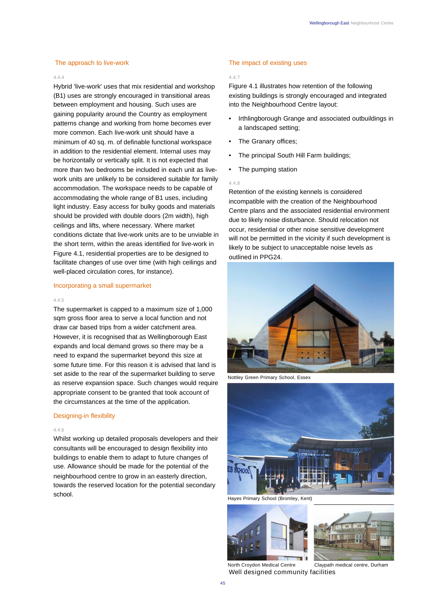### The approach to live-work

### 4.4.4

Hybrid 'live-work' uses that mix residential and workshop (B1) uses are strongly encouraged in transitional areas between employment and housing. Such uses are gaining popularity around the Country as employment patterns change and working from home becomes ever more common. Each live-work unit should have a minimum of 40 sq. m. of definable functional workspace in addition to the residential element. Internal uses may be horizontally or vertically split. It is not expected that more than two bedrooms be included in each unit as livework units are unlikely to be considered suitable for family accommodation. The workspace needs to be capable of accommodating the whole range of B1 uses, including light industry. Easy access for bulky goods and materials should be provided with double doors (2m width), high ceilings and lifts, where necessary. Where market conditions dictate that live-work units are to be unviable in the short term, within the areas identified for live-work in Figure 4.1, residential properties are to be designed to facilitate changes of use over time (with high ceilings and well-placed circulation cores, for instance).

# Incorporating a small supermarket

#### 4.4.5

The supermarket is capped to a maximum size of 1,000 sqm gross floor area to serve a local function and not draw car based trips from a wider catchment area. However, it is recognised that as Wellingborough East expands and local demand grows so there may be a need to expand the supermarket beyond this size at some future time. For this reason it is advised that land is set aside to the rear of the supermarket building to serve as reserve expansion space. Such changes would require appropriate consent to be granted that took account of the circumstances at the time of the application.

#### Designing-in flexibility

## 4.4.6

Whilst working up detailed proposals developers and their consultants will be encouraged to design flexibility into buildings to enable them to adapt to future changes of use. Allowance should be made for the potential of the neighbourhood centre to grow in an easterly direction, towards the reserved location for the potential secondary school.

# The impact of existing uses

# 4.4.7

Figure 4.1 illustrates how retention of the following existing buildings is strongly encouraged and integrated into the Neighbourhood Centre layout:

- Irthlingborough Grange and associated outbuildings in a landscaped setting;
- The Granary offices;
- The principal South Hill Farm buildings;
- The pumping station

#### 4.4.8

Retention of the existing kennels is considered incompatible with the creation of the Neighbourhood Centre plans and the associated residential environment due to likely noise disturbance. Should relocation not occur, residential or other noise sensitive development will not be permitted in the vicinity if such development is likely to be subject to unacceptable noise levels as outlined in PPG24.



Nottley Green Primary School, Essex



Hayes Primary School (Bromley, Kent)





North Croydon Medical Centre Claypath medical centre, Durham Well designed community facilities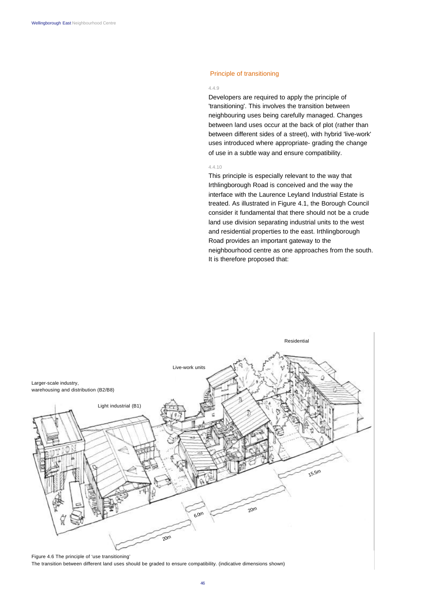# Principle of transitioning

#### 4.4.9

Developers are required to apply the principle of 'transitioning'. This involves the transition between neighbouring uses being carefully managed. Changes between land uses occur at the back of plot (rather than between different sides of a street), with hybrid 'live-work' uses introduced where appropriate- grading the change of use in a subtle way and ensure compatibility.

### 4.4.10

This principle is especially relevant to the way that Irthlingborough Road is conceived and the way the interface with the Laurence Leyland Industrial Estate is treated. As illustrated in Figure 4.1, the Borough Council consider it fundamental that there should not be a crude land use division separating industrial units to the west and residential properties to the east. Irthlingborough Road provides an important gateway to the neighbourhood centre as one approaches from the south. It is therefore proposed that:



Figure 4.6 The principle of 'use transitioning'

The transition between different land uses should be graded to ensure compatibility. (indicative dimensions shown)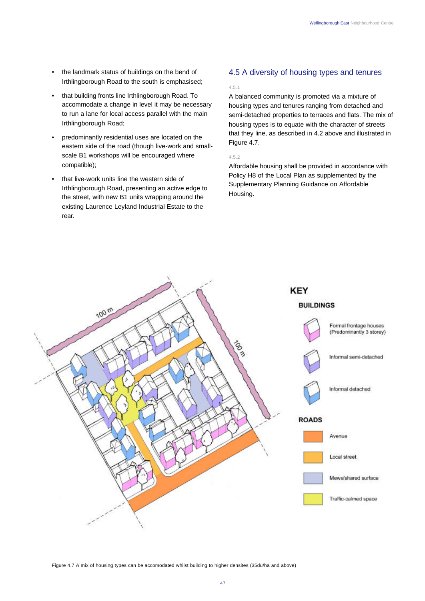- the landmark status of buildings on the bend of Irthlingborough Road to the south is emphasised;
- that building fronts line Irthlingborough Road. To accommodate a change in level it may be necessary to run a lane for local access parallel with the main Irthlingborough Road;
- predominantly residential uses are located on the eastern side of the road (though live-work and smallscale B1 workshops will be encouraged where compatible);
- that live-work units line the western side of Irthlingborough Road, presenting an active edge to the street, with new B1 units wrapping around the existing Laurence Leyland Industrial Estate to the rear.

# 4.5 A diversity of housing types and tenures

4.5.1

A balanced community is promoted via a mixture of housing types and tenures ranging from detached and semi-detached properties to terraces and flats. The mix of housing types is to equate with the character of streets that they line, as described in 4.2 above and illustrated in Figure 4.7.

4.5.2

Affordable housing shall be provided in accordance with Policy H8 of the Local Plan as supplemented by the Supplementary Planning Guidance on Affordable Housing.



Figure 4.7 A mix of housing types can be accomodated whilst building to higher densites (35du/ha and above)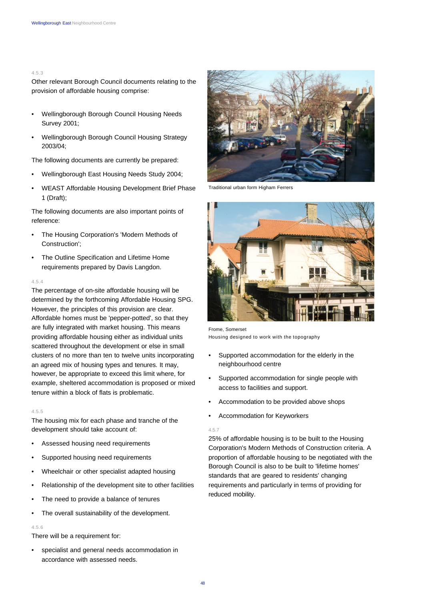#### 4.5.3

Other relevant Borough Council documents relating to the provision of affordable housing comprise:

- Wellingborough Borough Council Housing Needs Survey 2001;
- Wellingborough Borough Council Housing Strategy 2003/04;

The following documents are currently be prepared:

- Wellingborough East Housing Needs Study 2004;
- WEAST Affordable Housing Development Brief Phase 1 (Draft);

The following documents are also important points of reference:

- The Housing Corporation's 'Modern Methods of Construction';
- The Outline Specification and Lifetime Home requirements prepared by Davis Langdon.

#### 4.5.4

The percentage of on-site affordable housing will be determined by the forthcoming Affordable Housing SPG. However, the principles of this provision are clear. Affordable homes must be 'pepper-potted', so that they are fully integrated with market housing. This means providing affordable housing either as individual units scattered throughout the development or else in small clusters of no more than ten to twelve units incorporating an agreed mix of housing types and tenures. It may, however, be appropriate to exceed this limit where, for example, sheltered accommodation is proposed or mixed tenure within a block of flats is problematic.

# 4.5.5

The housing mix for each phase and tranche of the development should take account of:

- Assessed housing need requirements
- Supported housing need requirements
- Wheelchair or other specialist adapted housing
- Relationship of the development site to other facilities
- The need to provide a balance of tenures
- The overall sustainability of the development.

### 4.5.6

There will be a requirement for:

• specialist and general needs accommodation in accordance with assessed needs.



Traditional urban form Higham Ferrers



Frome, Somerset Housing designed to work with the topography

- Supported accommodation for the elderly in the neighbourhood centre
- Supported accommodation for single people with access to facilities and support.
- Accommodation to be provided above shops
- Accommodation for Keyworkers

#### 4.5.7

25% of affordable housing is to be built to the Housing Corporation's Modern Methods of Construction criteria. A proportion of affordable housing to be negotiated with the Borough Council is also to be built to 'lifetime homes' standards that are geared to residents' changing requirements and particularly in terms of providing for reduced mobility.